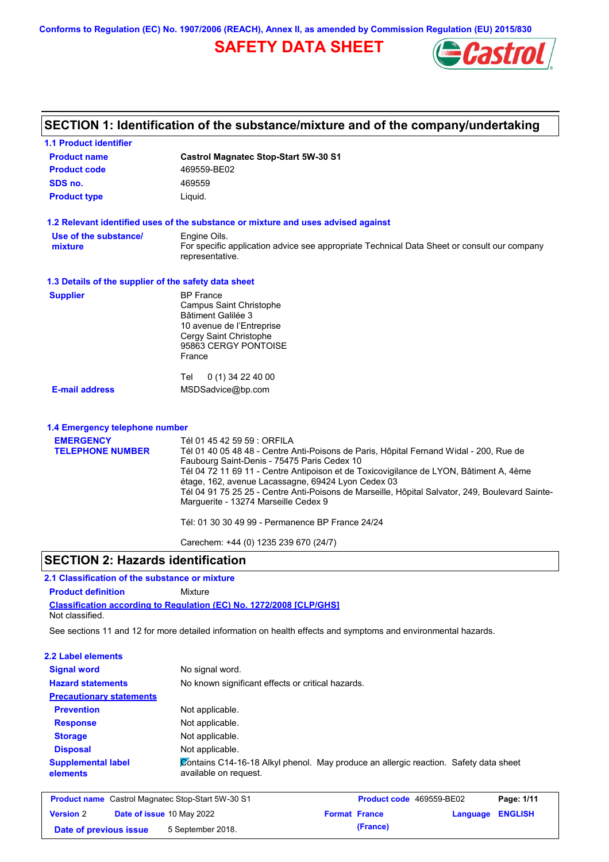**Conforms to Regulation (EC) No. 1907/2006 (REACH), Annex II, as amended by Commission Regulation (EU) 2015/830**

# **SAFETY DATA SHEET**



| <b>1.1 Product identifier</b>                        |                                                                                                                                                                                                                                                                                                                                                                                                                                                                                                                     |
|------------------------------------------------------|---------------------------------------------------------------------------------------------------------------------------------------------------------------------------------------------------------------------------------------------------------------------------------------------------------------------------------------------------------------------------------------------------------------------------------------------------------------------------------------------------------------------|
| <b>Product name</b>                                  | <b>Castrol Magnatec Stop-Start 5W-30 S1</b>                                                                                                                                                                                                                                                                                                                                                                                                                                                                         |
| <b>Product code</b>                                  | 469559-BE02                                                                                                                                                                                                                                                                                                                                                                                                                                                                                                         |
| SDS no.                                              | 469559                                                                                                                                                                                                                                                                                                                                                                                                                                                                                                              |
| <b>Product type</b>                                  | Liquid.                                                                                                                                                                                                                                                                                                                                                                                                                                                                                                             |
|                                                      | 1.2 Relevant identified uses of the substance or mixture and uses advised against                                                                                                                                                                                                                                                                                                                                                                                                                                   |
| Use of the substance/<br>mixture                     | Engine Oils.<br>For specific application advice see appropriate Technical Data Sheet or consult our company<br>representative.                                                                                                                                                                                                                                                                                                                                                                                      |
| 1.3 Details of the supplier of the safety data sheet |                                                                                                                                                                                                                                                                                                                                                                                                                                                                                                                     |
| <b>Supplier</b>                                      | <b>BP</b> France<br><b>Campus Saint Christophe</b><br><b>Bâtiment Galilée 3</b><br>10 avenue de l'Entreprise<br>Cergy Saint Christophe<br>95863 CERGY PONTOISE<br>France<br>0 (1) 34 22 40 00<br>Tel                                                                                                                                                                                                                                                                                                                |
| <b>E-mail address</b>                                | MSDSadvice@bp.com                                                                                                                                                                                                                                                                                                                                                                                                                                                                                                   |
| 1.4 Emergency telephone number                       |                                                                                                                                                                                                                                                                                                                                                                                                                                                                                                                     |
| <b>EMERGENCY</b><br><b>TELEPHONE NUMBER</b>          | Tél 01 45 42 59 59 : ORFILA<br>Tél 01 40 05 48 48 - Centre Anti-Poisons de Paris, Hôpital Fernand Widal - 200, Rue de<br>Faubourg Saint-Denis - 75475 Paris Cedex 10<br>Tél 04 72 11 69 11 - Centre Antipoison et de Toxicovigilance de LYON, Bâtiment A, 4ème<br>étage, 162, avenue Lacassagne, 69424 Lyon Cedex 03<br>Tél 04 91 75 25 25 - Centre Anti-Poisons de Marseille, Hôpital Salvator, 249, Boulevard Sainte-<br>Marguerite - 13274 Marseille Cedex 9<br>Tél: 01 30 30 49 99 - Permanence BP France 24/24 |

## **SECTION 2: Hazards identification**

## **2.1 Classification of the substance or mixture**

**Classification according to Regulation (EC) No. 1272/2008 [CLP/GHS] Product definition** Mixture Not classified.

**Date of previous issue (France)** 5 September 2018.

See sections 11 and 12 for more detailed information on health effects and symptoms and environmental hazards.

| 2.2 Label elements                                       |                                                                                                               |                          |          |                |
|----------------------------------------------------------|---------------------------------------------------------------------------------------------------------------|--------------------------|----------|----------------|
| <b>Signal word</b>                                       | No signal word.                                                                                               |                          |          |                |
| <b>Hazard statements</b>                                 | No known significant effects or critical hazards.                                                             |                          |          |                |
| <b>Precautionary statements</b>                          |                                                                                                               |                          |          |                |
| <b>Prevention</b>                                        | Not applicable.                                                                                               |                          |          |                |
| <b>Response</b>                                          | Not applicable.                                                                                               |                          |          |                |
| <b>Storage</b>                                           | Not applicable.                                                                                               |                          |          |                |
| <b>Disposal</b>                                          | Not applicable.                                                                                               |                          |          |                |
| <b>Supplemental label</b><br>elements                    | Contains C14-16-18 Alkyl phenol. May produce an allergic reaction. Safety data sheet<br>available on request. |                          |          |                |
| <b>Product name</b> Castrol Magnatec Stop-Start 5W-30 S1 |                                                                                                               | Product code 469559-BE02 |          | Page: 1/11     |
| <b>Version 2</b>                                         | Date of issue 10 May 2022                                                                                     | <b>Format France</b>     | Language | <b>ENGLISH</b> |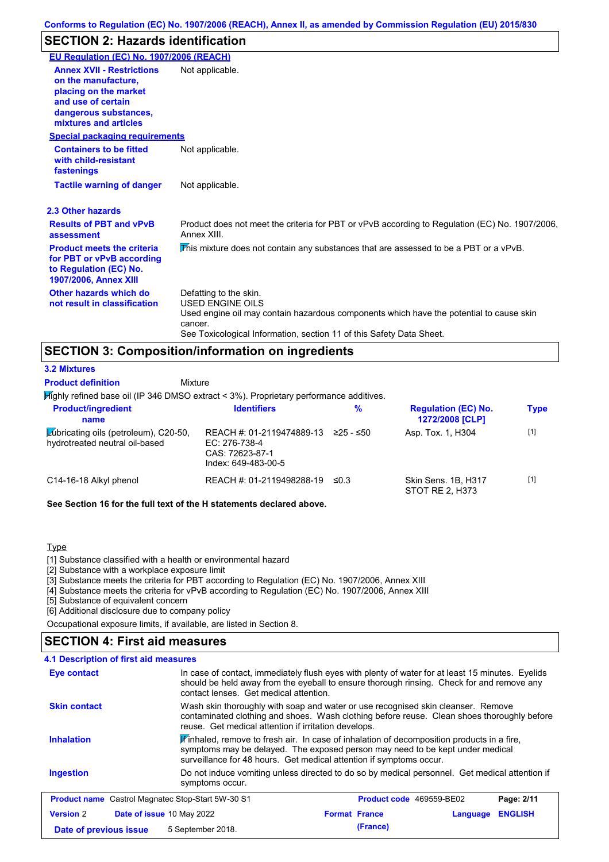# **SECTION 2: Hazards identification**

| EU Regulation (EC) No. 1907/2006 (REACH)                                                                                                                 |                                                                                                                                                                                                                                 |
|----------------------------------------------------------------------------------------------------------------------------------------------------------|---------------------------------------------------------------------------------------------------------------------------------------------------------------------------------------------------------------------------------|
| <b>Annex XVII - Restrictions</b><br>on the manufacture.<br>placing on the market<br>and use of certain<br>dangerous substances,<br>mixtures and articles | Not applicable.                                                                                                                                                                                                                 |
| <b>Special packaging requirements</b>                                                                                                                    |                                                                                                                                                                                                                                 |
| <b>Containers to be fitted</b><br>with child-resistant<br>fastenings                                                                                     | Not applicable.                                                                                                                                                                                                                 |
| <b>Tactile warning of danger</b>                                                                                                                         | Not applicable.                                                                                                                                                                                                                 |
| 2.3 Other hazards                                                                                                                                        |                                                                                                                                                                                                                                 |
| <b>Results of PBT and vPvB</b><br>assessment                                                                                                             | Product does not meet the criteria for PBT or vPvB according to Regulation (EC) No. 1907/2006,<br>Annex XIII.                                                                                                                   |
| <b>Product meets the criteria</b><br>for PBT or vPvB according<br>to Regulation (EC) No.<br><b>1907/2006, Annex XIII</b>                                 | This mixture does not contain any substances that are assessed to be a PBT or a vPvB.                                                                                                                                           |
| Other hazards which do<br>not result in classification                                                                                                   | Defatting to the skin.<br><b>USED ENGINE OILS</b><br>Used engine oil may contain hazardous components which have the potential to cause skin<br>cancer.<br>See Toxicological Information, section 11 of this Safety Data Sheet. |

## **SECTION 3: Composition/information on ingredients**

Mixture **3.2 Mixtures Product definition**

Highly refined base oil (IP 346 DMSO extract < 3%). Proprietary performance additives.

| <b>Product/ingredient</b><br>name                                              | <b>Identifiers</b>                                                                   | %          | <b>Regulation (EC) No.</b><br>1272/2008 [CLP] | <b>Type</b> |
|--------------------------------------------------------------------------------|--------------------------------------------------------------------------------------|------------|-----------------------------------------------|-------------|
| <b>Zubricating oils (petroleum), C20-50,</b><br>hydrotreated neutral oil-based | REACH #: 01-2119474889-13<br>EC: 276-738-4<br>CAS: 72623-87-1<br>Index: 649-483-00-5 | 225 - ≤50  | Asp. Tox. 1, H304                             | $[1]$       |
| C14-16-18 Alkyl phenol                                                         | REACH #: 01-2119498288-19                                                            | $\leq 0.3$ | Skin Sens. 1B, H317<br>STOT RE 2, H373        | $[1]$       |

**See Section 16 for the full text of the H statements declared above.**

#### Type

[1] Substance classified with a health or environmental hazard

[2] Substance with a workplace exposure limit

[3] Substance meets the criteria for PBT according to Regulation (EC) No. 1907/2006, Annex XIII

[4] Substance meets the criteria for vPvB according to Regulation (EC) No. 1907/2006, Annex XIII

[5] Substance of equivalent concern

[6] Additional disclosure due to company policy

Occupational exposure limits, if available, are listed in Section 8.

## **SECTION 4: First aid measures**

| 4.1 Description of first aid measures                    |                                                                                                                                                                                                                                         |                                                                                                                                                                                                                                                   |          |                |
|----------------------------------------------------------|-----------------------------------------------------------------------------------------------------------------------------------------------------------------------------------------------------------------------------------------|---------------------------------------------------------------------------------------------------------------------------------------------------------------------------------------------------------------------------------------------------|----------|----------------|
| Eye contact                                              | In case of contact, immediately flush eyes with plenty of water for at least 15 minutes. Eyelids<br>should be held away from the eyeball to ensure thorough rinsing. Check for and remove any<br>contact lenses. Get medical attention. |                                                                                                                                                                                                                                                   |          |                |
| <b>Skin contact</b>                                      |                                                                                                                                                                                                                                         | Wash skin thoroughly with soap and water or use recognised skin cleanser. Remove<br>contaminated clothing and shoes. Wash clothing before reuse. Clean shoes thoroughly before<br>reuse. Get medical attention if irritation develops.            |          |                |
| <b>Inhalation</b>                                        |                                                                                                                                                                                                                                         | Finhaled, remove to fresh air. In case of inhalation of decomposition products in a fire,<br>symptoms may be delayed. The exposed person may need to be kept under medical<br>surveillance for 48 hours. Get medical attention if symptoms occur. |          |                |
| <b>Ingestion</b>                                         | Do not induce vomiting unless directed to do so by medical personnel. Get medical attention if<br>symptoms occur.                                                                                                                       |                                                                                                                                                                                                                                                   |          |                |
| <b>Product name</b> Castrol Magnatec Stop-Start 5W-30 S1 |                                                                                                                                                                                                                                         | <b>Product code</b> 469559-BE02                                                                                                                                                                                                                   |          | Page: 2/11     |
| <b>Version 2</b>                                         | Date of issue 10 May 2022                                                                                                                                                                                                               | <b>Format France</b>                                                                                                                                                                                                                              | Language | <b>ENGLISH</b> |
| Date of previous issue                                   | 5 September 2018.                                                                                                                                                                                                                       | (France)                                                                                                                                                                                                                                          |          |                |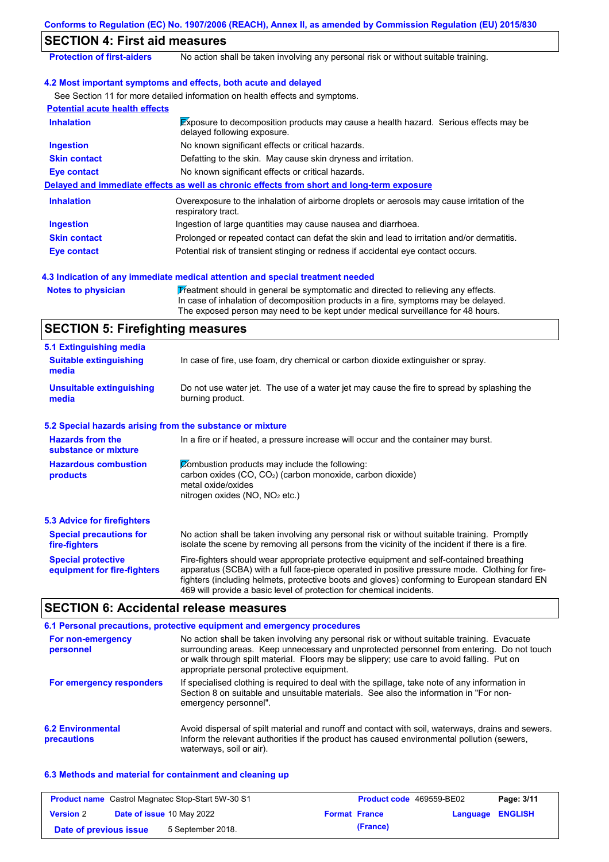| Conforms to Regulation (EC) No. 1907/2006 (REACH), Annex II, as amended by Commission Regulation (EU) 2015/830 |                                                                                                                                                                                                                                                                                                                                                                   |  |  |
|----------------------------------------------------------------------------------------------------------------|-------------------------------------------------------------------------------------------------------------------------------------------------------------------------------------------------------------------------------------------------------------------------------------------------------------------------------------------------------------------|--|--|
| <b>SECTION 4: First aid measures</b>                                                                           |                                                                                                                                                                                                                                                                                                                                                                   |  |  |
| <b>Protection of first-aiders</b>                                                                              | No action shall be taken involving any personal risk or without suitable training.                                                                                                                                                                                                                                                                                |  |  |
|                                                                                                                | 4.2 Most important symptoms and effects, both acute and delayed                                                                                                                                                                                                                                                                                                   |  |  |
|                                                                                                                | See Section 11 for more detailed information on health effects and symptoms.                                                                                                                                                                                                                                                                                      |  |  |
| <b>Potential acute health effects</b>                                                                          |                                                                                                                                                                                                                                                                                                                                                                   |  |  |
| <b>Inhalation</b>                                                                                              | Exposure to decomposition products may cause a health hazard. Serious effects may be<br>delayed following exposure.                                                                                                                                                                                                                                               |  |  |
| <b>Ingestion</b>                                                                                               | No known significant effects or critical hazards.                                                                                                                                                                                                                                                                                                                 |  |  |
| <b>Skin contact</b>                                                                                            | Defatting to the skin. May cause skin dryness and irritation.                                                                                                                                                                                                                                                                                                     |  |  |
| <b>Eye contact</b>                                                                                             | No known significant effects or critical hazards.                                                                                                                                                                                                                                                                                                                 |  |  |
|                                                                                                                | Delayed and immediate effects as well as chronic effects from short and long-term exposure                                                                                                                                                                                                                                                                        |  |  |
| <b>Inhalation</b>                                                                                              | Overexposure to the inhalation of airborne droplets or aerosols may cause irritation of the<br>respiratory tract.                                                                                                                                                                                                                                                 |  |  |
| <b>Ingestion</b>                                                                                               | Ingestion of large quantities may cause nausea and diarrhoea.                                                                                                                                                                                                                                                                                                     |  |  |
| <b>Skin contact</b>                                                                                            | Prolonged or repeated contact can defat the skin and lead to irritation and/or dermatitis.                                                                                                                                                                                                                                                                        |  |  |
| <b>Eye contact</b>                                                                                             | Potential risk of transient stinging or redness if accidental eye contact occurs.                                                                                                                                                                                                                                                                                 |  |  |
|                                                                                                                | 4.3 Indication of any immediate medical attention and special treatment needed                                                                                                                                                                                                                                                                                    |  |  |
| <b>Notes to physician</b>                                                                                      | Treatment should in general be symptomatic and directed to relieving any effects.<br>In case of inhalation of decomposition products in a fire, symptoms may be delayed.<br>The exposed person may need to be kept under medical surveillance for 48 hours.                                                                                                       |  |  |
| <b>SECTION 5: Firefighting measures</b>                                                                        |                                                                                                                                                                                                                                                                                                                                                                   |  |  |
| 5.1 Extinguishing media                                                                                        |                                                                                                                                                                                                                                                                                                                                                                   |  |  |
| <b>Suitable extinguishing</b><br>media                                                                         | In case of fire, use foam, dry chemical or carbon dioxide extinguisher or spray.                                                                                                                                                                                                                                                                                  |  |  |
| <b>Unsuitable extinguishing</b><br>media                                                                       | Do not use water jet. The use of a water jet may cause the fire to spread by splashing the<br>burning product.                                                                                                                                                                                                                                                    |  |  |
| 5.2 Special hazards arising from the substance or mixture                                                      |                                                                                                                                                                                                                                                                                                                                                                   |  |  |
| <b>Hazards from the</b><br>substance or mixture                                                                | In a fire or if heated, a pressure increase will occur and the container may burst.                                                                                                                                                                                                                                                                               |  |  |
| <b>Hazardous combustion</b><br>products                                                                        | Combustion products may include the following:<br>carbon oxides (CO, CO <sub>2</sub> ) (carbon monoxide, carbon dioxide)<br>metal oxide/oxides<br>nitrogen oxides (NO, NO <sub>2</sub> etc.)                                                                                                                                                                      |  |  |
| <b>5.3 Advice for firefighters</b>                                                                             |                                                                                                                                                                                                                                                                                                                                                                   |  |  |
| <b>Special precautions for</b><br>fire-fighters                                                                | No action shall be taken involving any personal risk or without suitable training. Promptly<br>isolate the scene by removing all persons from the vicinity of the incident if there is a fire.                                                                                                                                                                    |  |  |
| <b>Special protective</b><br>equipment for fire-fighters                                                       | Fire-fighters should wear appropriate protective equipment and self-contained breathing<br>apparatus (SCBA) with a full face-piece operated in positive pressure mode. Clothing for fire-<br>fighters (including helmets, protective boots and gloves) conforming to European standard EN<br>469 will provide a basic level of protection for chemical incidents. |  |  |
| <b>SECTION 6: Accidental release measures</b>                                                                  |                                                                                                                                                                                                                                                                                                                                                                   |  |  |
|                                                                                                                | 6.1 Personal precautions, protective equipment and emergency procedures                                                                                                                                                                                                                                                                                           |  |  |

| For non-emergency<br>personnel          | No action shall be taken involving any personal risk or without suitable training. Evacuate<br>surrounding areas. Keep unnecessary and unprotected personnel from entering. Do not touch<br>or walk through spilt material. Floors may be slippery; use care to avoid falling. Put on<br>appropriate personal protective equipment. |
|-----------------------------------------|-------------------------------------------------------------------------------------------------------------------------------------------------------------------------------------------------------------------------------------------------------------------------------------------------------------------------------------|
| For emergency responders                | If specialised clothing is required to deal with the spillage, take note of any information in<br>Section 8 on suitable and unsuitable materials. See also the information in "For non-<br>emergency personnel".                                                                                                                    |
| <b>6.2 Environmental</b><br>precautions | Avoid dispersal of spilt material and runoff and contact with soil, waterways, drains and sewers.<br>Inform the relevant authorities if the product has caused environmental pollution (sewers,<br>waterways, soil or air).                                                                                                         |

## **6.3 Methods and material for containment and cleaning up**

| <b>Product name</b> Castrol Magnatec Stop-Start 5W-30 S1 |  | <b>Product code</b> 469559-BE02  |                      | Page: 3/11 |                         |  |
|----------------------------------------------------------|--|----------------------------------|----------------------|------------|-------------------------|--|
| <b>Version 2</b>                                         |  | <b>Date of issue 10 May 2022</b> | <b>Format France</b> |            | <b>Language ENGLISH</b> |  |
| Date of previous issue                                   |  | 5 September 2018.                |                      | (France)   |                         |  |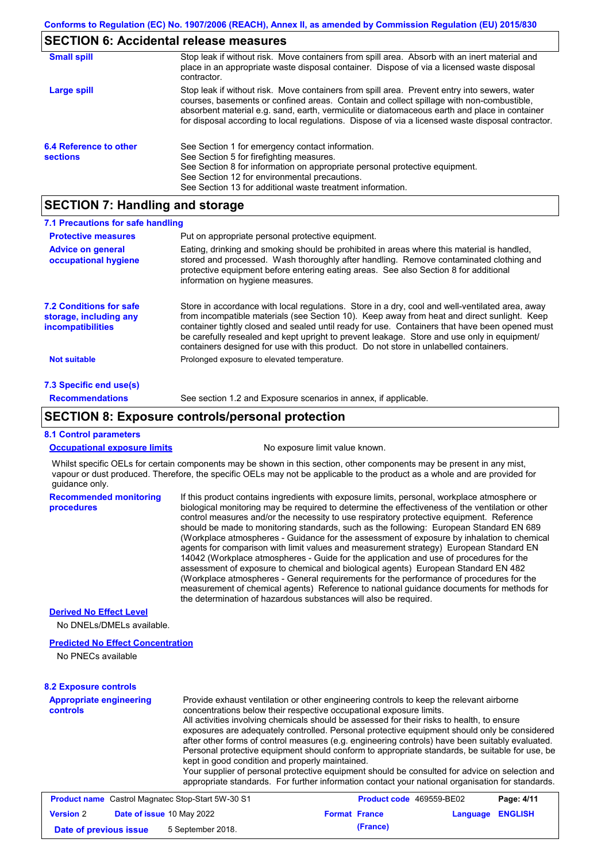## **SECTION 6: Accidental release measures**

| <b>Small spill</b>                        | Stop leak if without risk. Move containers from spill area. Absorb with an inert material and<br>place in an appropriate waste disposal container. Dispose of via a licensed waste disposal<br>contractor.                                                                                                                                                                                     |
|-------------------------------------------|------------------------------------------------------------------------------------------------------------------------------------------------------------------------------------------------------------------------------------------------------------------------------------------------------------------------------------------------------------------------------------------------|
| Large spill                               | Stop leak if without risk. Move containers from spill area. Prevent entry into sewers, water<br>courses, basements or confined areas. Contain and collect spillage with non-combustible,<br>absorbent material e.g. sand, earth, vermiculite or diatomaceous earth and place in container<br>for disposal according to local regulations. Dispose of via a licensed waste disposal contractor. |
| 6.4 Reference to other<br><b>sections</b> | See Section 1 for emergency contact information.<br>See Section 5 for firefighting measures.<br>See Section 8 for information on appropriate personal protective equipment.<br>See Section 12 for environmental precautions.<br>See Section 13 for additional waste treatment information.                                                                                                     |

# **SECTION 7: Handling and storage**

| 7.1 Precautions for safe handling                                                    |                                                                                                                                                                                                                                                                                                                                                                                                                                                                                          |
|--------------------------------------------------------------------------------------|------------------------------------------------------------------------------------------------------------------------------------------------------------------------------------------------------------------------------------------------------------------------------------------------------------------------------------------------------------------------------------------------------------------------------------------------------------------------------------------|
| <b>Protective measures</b>                                                           | Put on appropriate personal protective equipment.                                                                                                                                                                                                                                                                                                                                                                                                                                        |
| <b>Advice on general</b><br>occupational hygiene                                     | Eating, drinking and smoking should be prohibited in areas where this material is handled,<br>stored and processed. Wash thoroughly after handling. Remove contaminated clothing and<br>protective equipment before entering eating areas. See also Section 8 for additional<br>information on hygiene measures.                                                                                                                                                                         |
| <b>7.2 Conditions for safe</b><br>storage, including any<br><i>incompatibilities</i> | Store in accordance with local requlations. Store in a dry, cool and well-ventilated area, away<br>from incompatible materials (see Section 10). Keep away from heat and direct sunlight. Keep<br>container tightly closed and sealed until ready for use. Containers that have been opened must<br>be carefully resealed and kept upright to prevent leakage. Store and use only in equipment/<br>containers designed for use with this product. Do not store in unlabelled containers. |
| <b>Not suitable</b>                                                                  | Prolonged exposure to elevated temperature.                                                                                                                                                                                                                                                                                                                                                                                                                                              |
| 7.3 Specific end use(s)                                                              |                                                                                                                                                                                                                                                                                                                                                                                                                                                                                          |
| <b>Recommendations</b>                                                               | See section 1.2 and Exposure scenarios in annex, if applicable.                                                                                                                                                                                                                                                                                                                                                                                                                          |

## **SECTION 8: Exposure controls/personal protection**

### **8.1 Control parameters**

|  |  | <b>Occupational exposure limits</b> |  |
|--|--|-------------------------------------|--|
|--|--|-------------------------------------|--|

No exposure limit value known.

Whilst specific OELs for certain components may be shown in this section, other components may be present in any mist, vapour or dust produced. Therefore, the specific OELs may not be applicable to the product as a whole and are provided for guidance only.

**Recommended monitoring procedures** If this product contains ingredients with exposure limits, personal, workplace atmosphere or biological monitoring may be required to determine the effectiveness of the ventilation or other control measures and/or the necessity to use respiratory protective equipment. Reference should be made to monitoring standards, such as the following: European Standard EN 689 (Workplace atmospheres - Guidance for the assessment of exposure by inhalation to chemical agents for comparison with limit values and measurement strategy) European Standard EN 14042 (Workplace atmospheres - Guide for the application and use of procedures for the assessment of exposure to chemical and biological agents) European Standard EN 482 (Workplace atmospheres - General requirements for the performance of procedures for the measurement of chemical agents) Reference to national guidance documents for methods for the determination of hazardous substances will also be required.

### **Derived No Effect Level**

No DNELs/DMELs available.

#### **Predicted No Effect Concentration**

No PNECs available

#### **8.2 Exposure controls**

| <b>Appropriate engineering</b><br><b>controls</b>         | Provide exhaust ventilation or other engineering controls to keep the relevant airborne<br>concentrations below their respective occupational exposure limits.<br>All activities involving chemicals should be assessed for their risks to health, to ensure<br>exposures are adequately controlled. Personal protective equipment should only be considered<br>after other forms of control measures (e.g. engineering controls) have been suitably evaluated.<br>Personal protective equipment should conform to appropriate standards, be suitable for use, be<br>kept in good condition and properly maintained.<br>Your supplier of personal protective equipment should be consulted for advice on selection and<br>appropriate standards. For further information contact your national organisation for standards. |
|-----------------------------------------------------------|----------------------------------------------------------------------------------------------------------------------------------------------------------------------------------------------------------------------------------------------------------------------------------------------------------------------------------------------------------------------------------------------------------------------------------------------------------------------------------------------------------------------------------------------------------------------------------------------------------------------------------------------------------------------------------------------------------------------------------------------------------------------------------------------------------------------------|
| <b>Product name</b> Castrol Magnatos Stop Start 510/20 S1 | Dao: A/44<br><b>Draduct cade, 160550 RE02</b>                                                                                                                                                                                                                                                                                                                                                                                                                                                                                                                                                                                                                                                                                                                                                                              |

| <b>Product name</b> Castrol Magnatec Stop-Start 5W-30 S1 |  | <b>Product code</b> 469559-BE02  |  | Page: 4/11           |                  |  |
|----------------------------------------------------------|--|----------------------------------|--|----------------------|------------------|--|
| <b>Version 2</b>                                         |  | <b>Date of issue 10 May 2022</b> |  | <b>Format France</b> | Language ENGLISH |  |
| Date of previous issue                                   |  | 5 September 2018.                |  | (France)             |                  |  |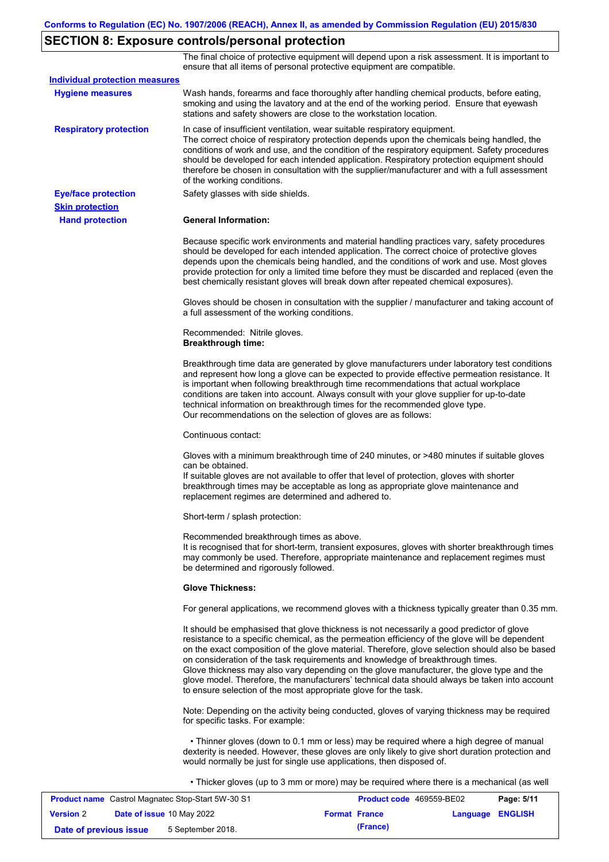# **SECTION 8: Exposure controls/personal protection**

The final choice of protective equipment will depend upon a risk assessment. It is important to ensure that all items of personal protective equipment are compatible.

| <b>Individual protection measures</b> |                                                                                                                                                                                                                                                                                                                                                                                                                                                                                                                                                                                                                                                   |
|---------------------------------------|---------------------------------------------------------------------------------------------------------------------------------------------------------------------------------------------------------------------------------------------------------------------------------------------------------------------------------------------------------------------------------------------------------------------------------------------------------------------------------------------------------------------------------------------------------------------------------------------------------------------------------------------------|
| <b>Hygiene measures</b>               | Wash hands, forearms and face thoroughly after handling chemical products, before eating,<br>smoking and using the lavatory and at the end of the working period. Ensure that eyewash<br>stations and safety showers are close to the workstation location.                                                                                                                                                                                                                                                                                                                                                                                       |
| <b>Respiratory protection</b>         | In case of insufficient ventilation, wear suitable respiratory equipment.<br>The correct choice of respiratory protection depends upon the chemicals being handled, the<br>conditions of work and use, and the condition of the respiratory equipment. Safety procedures<br>should be developed for each intended application. Respiratory protection equipment should<br>therefore be chosen in consultation with the supplier/manufacturer and with a full assessment<br>of the working conditions.                                                                                                                                             |
| <b>Eye/face protection</b>            | Safety glasses with side shields.                                                                                                                                                                                                                                                                                                                                                                                                                                                                                                                                                                                                                 |
| <b>Skin protection</b>                |                                                                                                                                                                                                                                                                                                                                                                                                                                                                                                                                                                                                                                                   |
| <b>Hand protection</b>                | <b>General Information:</b>                                                                                                                                                                                                                                                                                                                                                                                                                                                                                                                                                                                                                       |
|                                       | Because specific work environments and material handling practices vary, safety procedures<br>should be developed for each intended application. The correct choice of protective gloves<br>depends upon the chemicals being handled, and the conditions of work and use. Most gloves<br>provide protection for only a limited time before they must be discarded and replaced (even the<br>best chemically resistant gloves will break down after repeated chemical exposures).                                                                                                                                                                  |
|                                       | Gloves should be chosen in consultation with the supplier / manufacturer and taking account of<br>a full assessment of the working conditions.                                                                                                                                                                                                                                                                                                                                                                                                                                                                                                    |
|                                       | Recommended: Nitrile gloves.<br><b>Breakthrough time:</b>                                                                                                                                                                                                                                                                                                                                                                                                                                                                                                                                                                                         |
|                                       | Breakthrough time data are generated by glove manufacturers under laboratory test conditions<br>and represent how long a glove can be expected to provide effective permeation resistance. It<br>is important when following breakthrough time recommendations that actual workplace<br>conditions are taken into account. Always consult with your glove supplier for up-to-date<br>technical information on breakthrough times for the recommended glove type.<br>Our recommendations on the selection of gloves are as follows:                                                                                                                |
|                                       | Continuous contact:                                                                                                                                                                                                                                                                                                                                                                                                                                                                                                                                                                                                                               |
|                                       | Gloves with a minimum breakthrough time of 240 minutes, or >480 minutes if suitable gloves<br>can be obtained.<br>If suitable gloves are not available to offer that level of protection, gloves with shorter<br>breakthrough times may be acceptable as long as appropriate glove maintenance and<br>replacement regimes are determined and adhered to.                                                                                                                                                                                                                                                                                          |
|                                       | Short-term / splash protection:                                                                                                                                                                                                                                                                                                                                                                                                                                                                                                                                                                                                                   |
|                                       | Recommended breakthrough times as above.<br>It is recognised that for short-term, transient exposures, gloves with shorter breakthrough times<br>may commonly be used. Therefore, appropriate maintenance and replacement regimes must<br>be determined and rigorously followed.                                                                                                                                                                                                                                                                                                                                                                  |
|                                       | <b>Glove Thickness:</b>                                                                                                                                                                                                                                                                                                                                                                                                                                                                                                                                                                                                                           |
|                                       | For general applications, we recommend gloves with a thickness typically greater than 0.35 mm.                                                                                                                                                                                                                                                                                                                                                                                                                                                                                                                                                    |
|                                       | It should be emphasised that glove thickness is not necessarily a good predictor of glove<br>resistance to a specific chemical, as the permeation efficiency of the glove will be dependent<br>on the exact composition of the glove material. Therefore, glove selection should also be based<br>on consideration of the task requirements and knowledge of breakthrough times.<br>Glove thickness may also vary depending on the glove manufacturer, the glove type and the<br>glove model. Therefore, the manufacturers' technical data should always be taken into account<br>to ensure selection of the most appropriate glove for the task. |
|                                       | Note: Depending on the activity being conducted, gloves of varying thickness may be required<br>for specific tasks. For example:                                                                                                                                                                                                                                                                                                                                                                                                                                                                                                                  |
|                                       | • Thinner gloves (down to 0.1 mm or less) may be required where a high degree of manual<br>dexterity is needed. However, these gloves are only likely to give short duration protection and<br>would normally be just for single use applications, then disposed of.                                                                                                                                                                                                                                                                                                                                                                              |
|                                       | • Thicker gloves (up to 3 mm or more) may be required where there is a mechanical (as well                                                                                                                                                                                                                                                                                                                                                                                                                                                                                                                                                        |

|                        | <b>Product name</b> Castrol Magnatec Stop-Start 5W-30 S1 | <b>Product code</b> 469559-BE02 |                         | Page: 5/11 |
|------------------------|----------------------------------------------------------|---------------------------------|-------------------------|------------|
| <b>Version 2</b>       | <b>Date of issue 10 May 2022</b>                         | <b>Format France</b>            | <b>Language ENGLISH</b> |            |
| Date of previous issue | 5 September 2018.                                        | (France)                        |                         |            |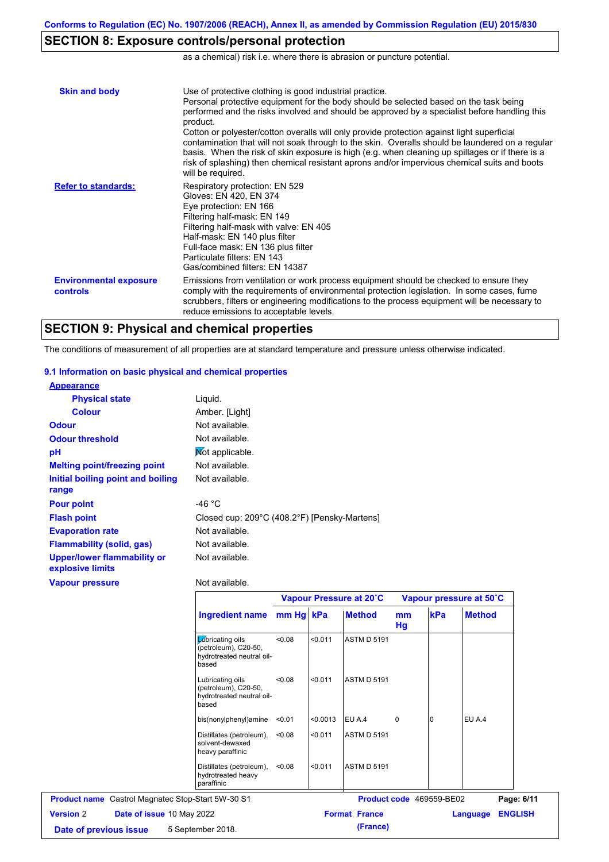# **SECTION 8: Exposure controls/personal protection**

as a chemical) risk i.e. where there is abrasion or puncture potential.

| <b>Skin and body</b>                             | Use of protective clothing is good industrial practice.<br>Personal protective equipment for the body should be selected based on the task being<br>performed and the risks involved and should be approved by a specialist before handling this<br>product.<br>Cotton or polyester/cotton overalls will only provide protection against light superficial<br>contamination that will not soak through to the skin. Overalls should be laundered on a regular<br>basis. When the risk of skin exposure is high (e.g. when cleaning up spillages or if there is a<br>risk of splashing) then chemical resistant aprons and/or impervious chemical suits and boots<br>will be required. |
|--------------------------------------------------|---------------------------------------------------------------------------------------------------------------------------------------------------------------------------------------------------------------------------------------------------------------------------------------------------------------------------------------------------------------------------------------------------------------------------------------------------------------------------------------------------------------------------------------------------------------------------------------------------------------------------------------------------------------------------------------|
| <b>Refer to standards:</b>                       | Respiratory protection: EN 529<br>Gloves: EN 420, EN 374<br>Eye protection: EN 166<br>Filtering half-mask: EN 149<br>Filtering half-mask with valve: EN 405<br>Half-mask: EN 140 plus filter<br>Full-face mask: EN 136 plus filter<br>Particulate filters: FN 143<br>Gas/combined filters: EN 14387                                                                                                                                                                                                                                                                                                                                                                                   |
| <b>Environmental exposure</b><br><b>controls</b> | Emissions from ventilation or work process equipment should be checked to ensure they<br>comply with the requirements of environmental protection legislation. In some cases, fume<br>scrubbers, filters or engineering modifications to the process equipment will be necessary to<br>reduce emissions to acceptable levels.                                                                                                                                                                                                                                                                                                                                                         |

## **SECTION 9: Physical and chemical properties**

The conditions of measurement of all properties are at standard temperature and pressure unless otherwise indicated.

#### **9.1 Information on basic physical and chemical properties**

| <b>Appearance</b>                                      |                                              |
|--------------------------------------------------------|----------------------------------------------|
| <b>Physical state</b>                                  | Liguid.                                      |
| <b>Colour</b>                                          | Amber. [Light]                               |
| <b>Odour</b>                                           | Not available.                               |
| <b>Odour threshold</b>                                 | Not available.                               |
| pH                                                     | Mot applicable.                              |
| <b>Melting point/freezing point</b>                    | Not available.                               |
| Initial boiling point and boiling                      | Not available.                               |
| range                                                  |                                              |
| <b>Pour point</b>                                      | -46 $^{\circ}$ C                             |
| <b>Flash point</b>                                     | Closed cup: 209°C (408.2°F) [Pensky-Martens] |
| <b>Evaporation rate</b>                                | Not available.                               |
| <b>Flammability (solid, gas)</b>                       | Not available.                               |
| <b>Upper/lower flammability or</b><br>explosive limits | Not available.                               |
| <b>Vapour pressure</b>                                 | Not available.                               |

|                                                          |                                                                                |        | Vapour Pressure at 20°C |                      |                          | Vapour pressure at 50°C |               |                |
|----------------------------------------------------------|--------------------------------------------------------------------------------|--------|-------------------------|----------------------|--------------------------|-------------------------|---------------|----------------|
|                                                          | Ingredient name mm Hg kPa                                                      |        |                         | <b>Method</b>        | <sub>mm</sub><br>Hg      | kPa                     | <b>Method</b> |                |
|                                                          | Lubricating oils<br>(petroleum), C20-50,<br>hydrotreated neutral oil-<br>based | 0.08   | < 0.011                 | <b>ASTM D 5191</b>   |                          |                         |               |                |
|                                                          | Lubricating oils<br>(petroleum), C20-50,<br>hydrotreated neutral oil-<br>based | < 0.08 | < 0.011                 | <b>ASTM D 5191</b>   |                          |                         |               |                |
|                                                          | bis(nonylphenyl)amine                                                          | < 0.01 | < 0.0013                | EU A.4               | $\mathbf 0$              | 0                       | EU A.4        |                |
|                                                          | Distillates (petroleum),<br>solvent-dewaxed<br>heavy paraffinic                | < 0.08 | < 0.011                 | <b>ASTM D 5191</b>   |                          |                         |               |                |
|                                                          | Distillates (petroleum),<br>hydrotreated heavy<br>paraffinic                   | < 0.08 | < 0.011                 | <b>ASTM D 5191</b>   |                          |                         |               |                |
| <b>Product name</b> Castrol Magnatec Stop-Start 5W-30 S1 |                                                                                |        |                         |                      | Product code 469559-BE02 |                         |               | Page: 6/11     |
| <b>Version 2</b><br>Date of issue 10 May 2022            |                                                                                |        |                         | <b>Format France</b> |                          |                         | Language      | <b>ENGLISH</b> |
| 5 September 2018.<br>Date of previous issue              |                                                                                |        |                         | (France)             |                          |                         |               |                |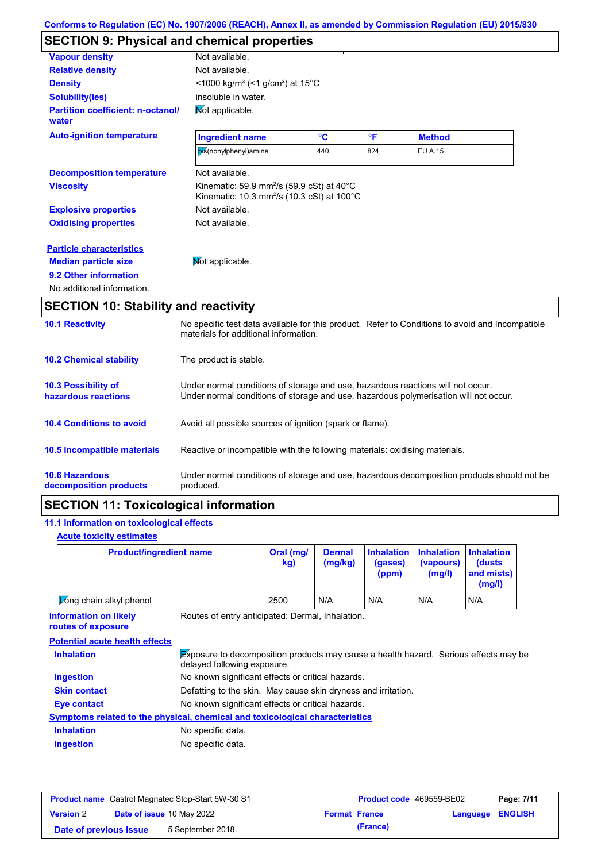# **SECTION 9: Physical and chemical properties**

| <b>Vapour density</b>                             | Not available.                                                                                                                           |     |              |                |  |
|---------------------------------------------------|------------------------------------------------------------------------------------------------------------------------------------------|-----|--------------|----------------|--|
| <b>Relative density</b>                           | Not available.                                                                                                                           |     |              |                |  |
| <b>Density</b>                                    | $\leq$ 1000 kg/m <sup>3</sup> (<1 g/cm <sup>3</sup> ) at 15 <sup>°</sup> C                                                               |     |              |                |  |
| <b>Solubility(ies)</b>                            | insoluble in water.                                                                                                                      |     |              |                |  |
| <b>Partition coefficient: n-octanol/</b><br>water | Mot applicable.                                                                                                                          |     |              |                |  |
| <b>Auto-ignition temperature</b>                  | <b>Ingredient name</b>                                                                                                                   | °C  | $\mathsf{P}$ | <b>Method</b>  |  |
|                                                   | bis(nonylphenyl)amine                                                                                                                    | 440 | 824          | <b>EU A.15</b> |  |
| <b>Decomposition temperature</b>                  | Not available.                                                                                                                           |     |              |                |  |
| <b>Viscosity</b>                                  | Kinematic: 59.9 mm <sup>2</sup> /s (59.9 cSt) at 40 $^{\circ}$ C<br>Kinematic: 10.3 mm <sup>2</sup> /s (10.3 cSt) at 100 $^{\circ}$ C    |     |              |                |  |
| <b>Explosive properties</b>                       | Not available.                                                                                                                           |     |              |                |  |
| <b>Oxidising properties</b>                       | Not available.                                                                                                                           |     |              |                |  |
| <b>Particle characteristics</b>                   |                                                                                                                                          |     |              |                |  |
| <b>Median particle size</b>                       | Mot applicable.                                                                                                                          |     |              |                |  |
| 9.2 Other information                             |                                                                                                                                          |     |              |                |  |
| No additional information.                        |                                                                                                                                          |     |              |                |  |
| <b>SECTION 10: Stability and reactivity</b>       |                                                                                                                                          |     |              |                |  |
| <b>10.1 Reactivity</b>                            | No specific test data available for this product. Refer to Conditions to avoid and Incompatible<br>materials for additional information. |     |              |                |  |

| <b>10.2 Chemical stability</b>                    | The product is stable.                                                                                                                                                  |
|---------------------------------------------------|-------------------------------------------------------------------------------------------------------------------------------------------------------------------------|
| <b>10.3 Possibility of</b><br>hazardous reactions | Under normal conditions of storage and use, hazardous reactions will not occur.<br>Under normal conditions of storage and use, hazardous polymerisation will not occur. |
| <b>10.4 Conditions to avoid</b>                   | Avoid all possible sources of ignition (spark or flame).                                                                                                                |
| <b>10.5 Incompatible materials</b>                | Reactive or incompatible with the following materials: oxidising materials.                                                                                             |
| <b>10.6 Hazardous</b><br>decomposition products   | Under normal conditions of storage and use, hazardous decomposition products should not be<br>produced.                                                                 |

# **SECTION 11: Toxicological information**

## **11.1 Information on toxicological effects**

## **Acute toxicity estimates**

| <b>Product/ingredient name</b>                     |                                                                                                                            | Oral (mg/<br>kg) | <b>Dermal</b><br>(mg/kg) | <b>Inhalation</b><br>(gases)<br>(ppm) | <b>Inhalation</b><br>(vapours)<br>(mg/l) | <b>Inhalation</b><br>(dusts)<br>and mists)<br>(mg/l) |
|----------------------------------------------------|----------------------------------------------------------------------------------------------------------------------------|------------------|--------------------------|---------------------------------------|------------------------------------------|------------------------------------------------------|
| <b>Cong chain alkyl phenol</b>                     |                                                                                                                            | 2500             | N/A                      | N/A                                   | N/A                                      | N/A                                                  |
| <b>Information on likely</b><br>routes of exposure | Routes of entry anticipated: Dermal, Inhalation.                                                                           |                  |                          |                                       |                                          |                                                      |
| <b>Potential acute health effects</b>              |                                                                                                                            |                  |                          |                                       |                                          |                                                      |
| <b>Inhalation</b>                                  | <b>Exposure to decomposition products may cause a health hazard.</b> Serious effects may be<br>delayed following exposure. |                  |                          |                                       |                                          |                                                      |
|                                                    |                                                                                                                            |                  |                          |                                       |                                          |                                                      |

| <b>Ingestion</b>    | No known significant effects or critical hazards.                                   |
|---------------------|-------------------------------------------------------------------------------------|
| <b>Skin contact</b> | Defatting to the skin. May cause skin dryness and irritation.                       |
| Eye contact         | No known significant effects or critical hazards.                                   |
|                     | <u>Symptoms related to the physical, chemical and toxicological characteristics</u> |
| <b>Inhalation</b>   | No specific data.                                                                   |
| <b>Ingestion</b>    | No specific data.                                                                   |

|                        | <b>Product name</b> Castrol Magnatec Stop-Start 5W-30 S1 | <b>Product code</b> 469559-BE02 |                         | Page: 7/11 |
|------------------------|----------------------------------------------------------|---------------------------------|-------------------------|------------|
| <b>Version 2</b>       | <b>Date of issue 10 May 2022</b>                         | <b>Format France</b>            | <b>Language ENGLISH</b> |            |
| Date of previous issue | 5 September 2018.                                        | (France)                        |                         |            |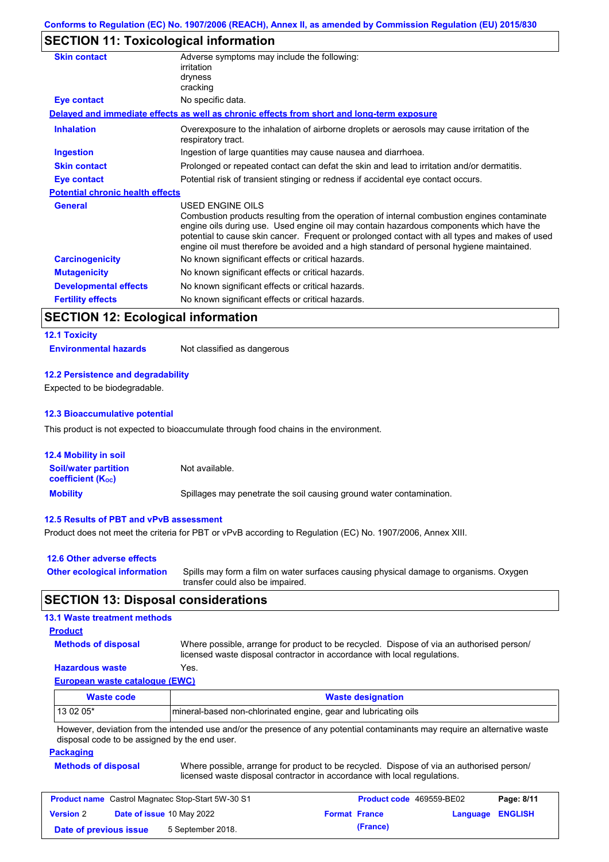# **SECTION 11: Toxicological information**

| <b>Skin contact</b>                     | Adverse symptoms may include the following:                                                                                                                                                                                                                                                                                                                                          |
|-----------------------------------------|--------------------------------------------------------------------------------------------------------------------------------------------------------------------------------------------------------------------------------------------------------------------------------------------------------------------------------------------------------------------------------------|
|                                         | irritation                                                                                                                                                                                                                                                                                                                                                                           |
|                                         | dryness                                                                                                                                                                                                                                                                                                                                                                              |
|                                         | cracking                                                                                                                                                                                                                                                                                                                                                                             |
| <b>Eye contact</b>                      | No specific data.                                                                                                                                                                                                                                                                                                                                                                    |
|                                         | Delayed and immediate effects as well as chronic effects from short and long-term exposure                                                                                                                                                                                                                                                                                           |
| <b>Inhalation</b>                       | Overexposure to the inhalation of airborne droplets or aerosols may cause irritation of the<br>respiratory tract.                                                                                                                                                                                                                                                                    |
| <b>Ingestion</b>                        | Ingestion of large quantities may cause nausea and diarrhoea.                                                                                                                                                                                                                                                                                                                        |
| <b>Skin contact</b>                     | Prolonged or repeated contact can defat the skin and lead to irritation and/or dermatitis.                                                                                                                                                                                                                                                                                           |
| Eye contact                             | Potential risk of transient stinging or redness if accidental eye contact occurs.                                                                                                                                                                                                                                                                                                    |
| <b>Potential chronic health effects</b> |                                                                                                                                                                                                                                                                                                                                                                                      |
| <b>General</b>                          | USED ENGINE OILS                                                                                                                                                                                                                                                                                                                                                                     |
|                                         | Combustion products resulting from the operation of internal combustion engines contaminate<br>engine oils during use. Used engine oil may contain hazardous components which have the<br>potential to cause skin cancer. Frequent or prolonged contact with all types and makes of used<br>engine oil must therefore be avoided and a high standard of personal hygiene maintained. |
| <b>Carcinogenicity</b>                  | No known significant effects or critical hazards.                                                                                                                                                                                                                                                                                                                                    |
| <b>Mutagenicity</b>                     | No known significant effects or critical hazards.                                                                                                                                                                                                                                                                                                                                    |
| <b>Developmental effects</b>            | No known significant effects or critical hazards.                                                                                                                                                                                                                                                                                                                                    |
| <b>Fertility effects</b>                | No known significant effects or critical hazards.                                                                                                                                                                                                                                                                                                                                    |

# **SECTION 12: Ecological information**

| <b>12.1 Toxicity</b>         |                             |
|------------------------------|-----------------------------|
| <b>Environmental hazards</b> | Not classified as dangerous |

#### **12.2 Persistence and degradability**

Expected to be biodegradable.

#### **12.3 Bioaccumulative potential**

This product is not expected to bioaccumulate through food chains in the environment.

| <b>12.4 Mobility in soil</b>                                  |                                                                      |
|---------------------------------------------------------------|----------------------------------------------------------------------|
| <b>Soil/water partition</b><br>coefficient (K <sub>oc</sub> ) | Not available.                                                       |
| <b>Mobility</b>                                               | Spillages may penetrate the soil causing ground water contamination. |

#### **12.5 Results of PBT and vPvB assessment**

Product does not meet the criteria for PBT or vPvB according to Regulation (EC) No. 1907/2006, Annex XIII.

| 12.6 Other adverse effects          |                                                                                       |
|-------------------------------------|---------------------------------------------------------------------------------------|
| <b>Other ecological information</b> | Spills may form a film on water surfaces causing physical damage to organisms. Oxygen |
|                                     | transfer could also be impaired.                                                      |

## **SECTION 13: Disposal considerations**

#### **13.1 Waste treatment methods**

#### **Product**

**Methods of disposal**

Where possible, arrange for product to be recycled. Dispose of via an authorised person/ licensed waste disposal contractor in accordance with local regulations.

## **Hazardous waste** Yes.

**European waste catalogue (EWC)**

| Waste code                                                                                                                  | <b>Waste designation</b>                                         |  |  |
|-----------------------------------------------------------------------------------------------------------------------------|------------------------------------------------------------------|--|--|
| 13 02 05*                                                                                                                   | Imineral-based non-chlorinated engine, gear and lubricating oils |  |  |
| However, deviation from the intended use and/or the presence of any potential contaminants may require an alternative waste |                                                                  |  |  |

disposal code to be assigned by the end user.

#### **Packaging**

| <b>Methods of disposal</b> | Where possible, arrange for product to be recycled. Dispose of via an authorised person/ |
|----------------------------|------------------------------------------------------------------------------------------|
|                            | licensed waste disposal contractor in accordance with local regulations.                 |

| <b>Product name</b> Castrol Magnatec Stop-Start 5W-30 S1 |  | <b>Product code</b> 469559-BE02 |                      | Page: 8/11              |  |  |
|----------------------------------------------------------|--|---------------------------------|----------------------|-------------------------|--|--|
| <b>Date of issue 10 May 2022</b><br><b>Version 2</b>     |  |                                 | <b>Format France</b> | <b>Language ENGLISH</b> |  |  |
| 5 September 2018.<br>Date of previous issue              |  |                                 |                      | (France)                |  |  |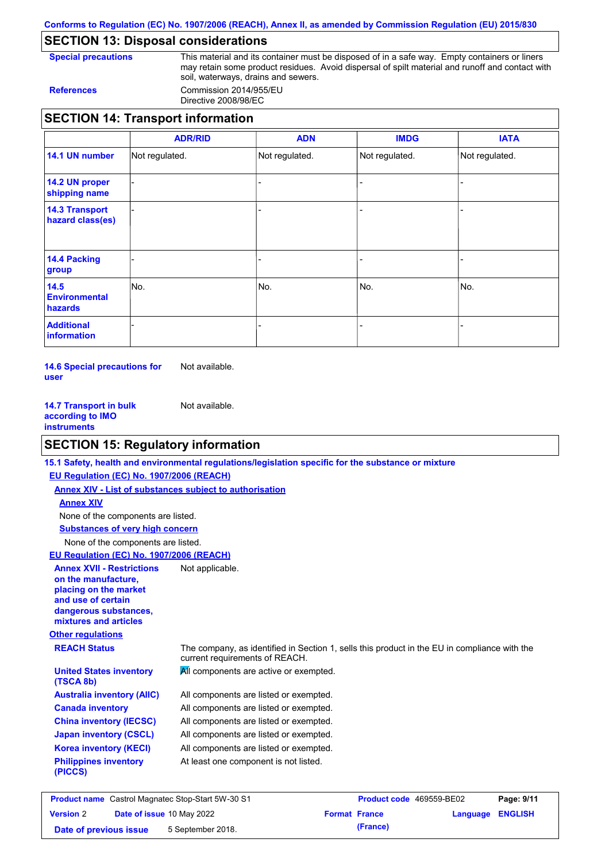**Conforms to Regulation (EC) No. 1907/2006 (REACH), Annex II, as amended by Commission Regulation (EU) 2015/830**

# **SECTION 13: Disposal considerations**

**Special precautions** This material and its container must be disposed of in a safe way. Empty containers or liners may retain some product residues. Avoid dispersal of spilt material and runoff and contact with soil, waterways, drains and sewers. **References** Commission 2014/955/EU

Directive 2008/98/EC

## **SECTION 14: Transport information**

|                                                | <b>ADR/RID</b> | <b>ADN</b>     | <b>IMDG</b>    | <b>IATA</b>    |
|------------------------------------------------|----------------|----------------|----------------|----------------|
| 14.1 UN number                                 | Not regulated. | Not regulated. | Not regulated. | Not regulated. |
| 14.2 UN proper<br>shipping name                |                |                |                |                |
| <b>14.3 Transport</b><br>hazard class(es)      |                |                |                |                |
| <b>14.4 Packing</b><br>group                   |                |                |                |                |
| 14.5<br><b>Environmental</b><br><b>hazards</b> | No.            | No.            | No.            | No.            |
| <b>Additional</b><br>information               |                |                |                | -              |

**14.6 Special precautions for user** Not available.

**14.7 Transport in bulk according to IMO instruments** Not available.

# **SECTION 15: Regulatory information**

|                                                                                                                                                          | 15.1 Safety, health and environmental regulations/legislation specific for the substance or mixture                            |
|----------------------------------------------------------------------------------------------------------------------------------------------------------|--------------------------------------------------------------------------------------------------------------------------------|
| EU Regulation (EC) No. 1907/2006 (REACH)                                                                                                                 |                                                                                                                                |
|                                                                                                                                                          | Annex XIV - List of substances subject to authorisation                                                                        |
| <b>Annex XIV</b>                                                                                                                                         |                                                                                                                                |
| None of the components are listed.                                                                                                                       |                                                                                                                                |
| <b>Substances of very high concern</b>                                                                                                                   |                                                                                                                                |
| None of the components are listed.                                                                                                                       |                                                                                                                                |
| EU Regulation (EC) No. 1907/2006 (REACH)                                                                                                                 |                                                                                                                                |
| <b>Annex XVII - Restrictions</b><br>on the manufacture.<br>placing on the market<br>and use of certain<br>dangerous substances,<br>mixtures and articles | Not applicable.                                                                                                                |
| <b>Other regulations</b>                                                                                                                                 |                                                                                                                                |
| <b>REACH Status</b>                                                                                                                                      | The company, as identified in Section 1, sells this product in the EU in compliance with the<br>current requirements of REACH. |
| <b>United States inventory</b><br>(TSCA 8b)                                                                                                              | All components are active or exempted.                                                                                         |
| <b>Australia inventory (AIIC)</b>                                                                                                                        | All components are listed or exempted.                                                                                         |
| <b>Canada inventory</b>                                                                                                                                  | All components are listed or exempted.                                                                                         |
| <b>China inventory (IECSC)</b>                                                                                                                           | All components are listed or exempted.                                                                                         |
| <b>Japan inventory (CSCL)</b>                                                                                                                            | All components are listed or exempted.                                                                                         |
| <b>Korea inventory (KECI)</b>                                                                                                                            | All components are listed or exempted.                                                                                         |
| <b>Philippines inventory</b><br>(PICCS)                                                                                                                  | At least one component is not listed.                                                                                          |
|                                                                                                                                                          |                                                                                                                                |
|                                                                                                                                                          |                                                                                                                                |

| <b>Product name</b> Castrol Magnatec Stop-Start 5W-30 S1 |  | <b>Product code</b> 469559-BE02  |  | Page: 9/11           |                  |  |
|----------------------------------------------------------|--|----------------------------------|--|----------------------|------------------|--|
| <b>Version 2</b>                                         |  | <b>Date of issue 10 May 2022</b> |  | <b>Format France</b> | Language ENGLISH |  |
| Date of previous issue                                   |  | 5 September 2018.                |  | (France)             |                  |  |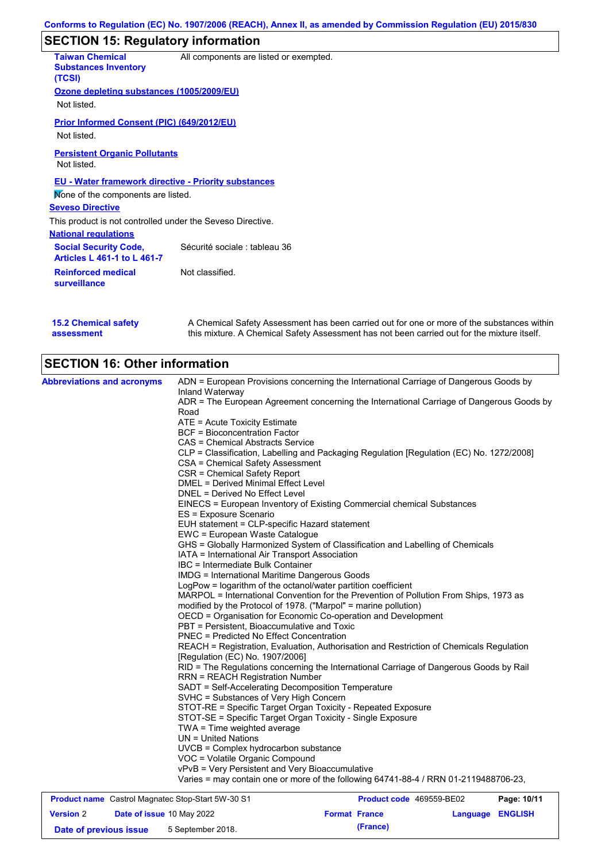# **SECTION 15: Regulatory information**

| <b>Taiwan Chemical</b><br><b>Substances Inventory</b><br>(TCSI)    | All components are listed or exempted. |
|--------------------------------------------------------------------|----------------------------------------|
| Ozone depleting substances (1005/2009/EU)                          |                                        |
| Not listed.                                                        |                                        |
| <b>Prior Informed Consent (PIC) (649/2012/EU)</b>                  |                                        |
| Not listed.                                                        |                                        |
| <b>Persistent Organic Pollutants</b>                               |                                        |
| Not listed.                                                        |                                        |
| <b>EU - Water framework directive - Priority substances</b>        |                                        |
| Mone of the components are listed.                                 |                                        |
| <b>Seveso Directive</b>                                            |                                        |
| This product is not controlled under the Seveso Directive.         |                                        |
| <b>National regulations</b>                                        |                                        |
| <b>Social Security Code,</b><br><b>Articles L 461-1 to L 461-7</b> | Sécurité sociale : tableau 36          |
| <b>Reinforced medical</b><br><b>surveillance</b>                   | Not classified.                        |
|                                                                    |                                        |

**15.2 Chemical safety assessment**

A Chemical Safety Assessment has been carried out for one or more of the substances within this mixture. A Chemical Safety Assessment has not been carried out for the mixture itself.

# **SECTION 16: Other information**

| <b>Abbreviations and acronyms</b> | ADN = European Provisions concerning the International Carriage of Dangerous Goods by            |
|-----------------------------------|--------------------------------------------------------------------------------------------------|
|                                   | Inland Waterway                                                                                  |
|                                   | ADR = The European Agreement concerning the International Carriage of Dangerous Goods by<br>Road |
|                                   |                                                                                                  |
|                                   | ATE = Acute Toxicity Estimate<br><b>BCF</b> = Bioconcentration Factor                            |
|                                   |                                                                                                  |
|                                   | CAS = Chemical Abstracts Service                                                                 |
|                                   | CLP = Classification, Labelling and Packaging Regulation [Regulation (EC) No. 1272/2008]         |
|                                   | CSA = Chemical Safety Assessment<br>CSR = Chemical Safety Report                                 |
|                                   | DMEL = Derived Minimal Effect Level                                                              |
|                                   | DNEL = Derived No Effect Level                                                                   |
|                                   |                                                                                                  |
|                                   | EINECS = European Inventory of Existing Commercial chemical Substances<br>ES = Exposure Scenario |
|                                   | EUH statement = CLP-specific Hazard statement                                                    |
|                                   | EWC = European Waste Catalogue                                                                   |
|                                   | GHS = Globally Harmonized System of Classification and Labelling of Chemicals                    |
|                                   | IATA = International Air Transport Association                                                   |
|                                   | IBC = Intermediate Bulk Container                                                                |
|                                   | <b>IMDG = International Maritime Dangerous Goods</b>                                             |
|                                   | LogPow = logarithm of the octanol/water partition coefficient                                    |
|                                   | MARPOL = International Convention for the Prevention of Pollution From Ships, 1973 as            |
|                                   | modified by the Protocol of 1978. ("Marpol" = marine pollution)                                  |
|                                   | OECD = Organisation for Economic Co-operation and Development                                    |
|                                   | PBT = Persistent, Bioaccumulative and Toxic                                                      |
|                                   | <b>PNEC = Predicted No Effect Concentration</b>                                                  |
|                                   | REACH = Registration, Evaluation, Authorisation and Restriction of Chemicals Regulation          |
|                                   | [Regulation (EC) No. 1907/2006]                                                                  |
|                                   | RID = The Regulations concerning the International Carriage of Dangerous Goods by Rail           |
|                                   | <b>RRN = REACH Registration Number</b>                                                           |
|                                   | SADT = Self-Accelerating Decomposition Temperature                                               |
|                                   | SVHC = Substances of Very High Concern                                                           |
|                                   | STOT-RE = Specific Target Organ Toxicity - Repeated Exposure                                     |
|                                   | STOT-SE = Specific Target Organ Toxicity - Single Exposure                                       |
|                                   | $TWA = Time$ weighted average                                                                    |
|                                   | $UN = United Nations$                                                                            |
|                                   | UVCB = Complex hydrocarbon substance                                                             |
|                                   | VOC = Volatile Organic Compound                                                                  |
|                                   | vPvB = Very Persistent and Very Bioaccumulative                                                  |
|                                   | Varies = may contain one or more of the following 64741-88-4 / RRN 01-2119488706-23,             |
|                                   |                                                                                                  |

| <b>Product name</b> Castrol Magnatec Stop-Start 5W-30 S1 |  |  | <b>Product code</b> 469559-BE02 |                         | Page: 10/11 |  |
|----------------------------------------------------------|--|--|---------------------------------|-------------------------|-------------|--|
| Date of issue 10 May 2022<br><b>Version 2</b>            |  |  | <b>Format France</b>            | <b>Language ENGLISH</b> |             |  |
| 5 September 2018.<br>Date of previous issue              |  |  |                                 | (France)                |             |  |